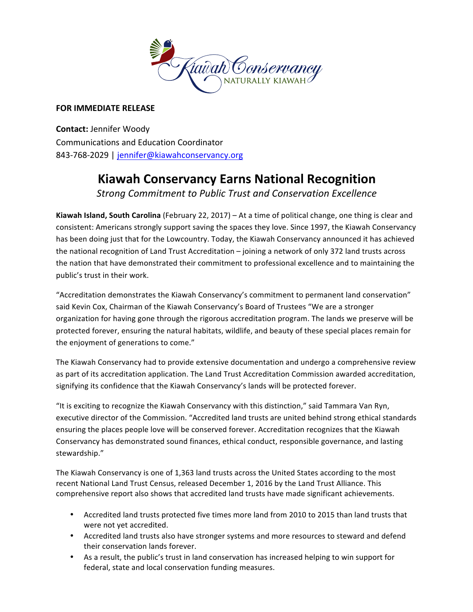

# **FOR IMMEDIATE RELEASE**

**Contact:** Jennifer Woody Communications and Education Coordinator 843-768-2029 | jennifer@kiawahconservancy.org

# **Kiawah Conservancy Earns National Recognition**

**Strong Commitment to Public Trust and Conservation Excellence** 

**Kiawah Island, South Carolina** (February 22, 2017) – At a time of political change, one thing is clear and consistent: Americans strongly support saving the spaces they love. Since 1997, the Kiawah Conservancy has been doing just that for the Lowcountry. Today, the Kiawah Conservancy announced it has achieved the national recognition of Land Trust Accreditation – joining a network of only 372 land trusts across the nation that have demonstrated their commitment to professional excellence and to maintaining the public's trust in their work.

"Accreditation demonstrates the Kiawah Conservancy's commitment to permanent land conservation" said Kevin Cox, Chairman of the Kiawah Conservancy's Board of Trustees "We are a stronger organization for having gone through the rigorous accreditation program. The lands we preserve will be protected forever, ensuring the natural habitats, wildlife, and beauty of these special places remain for the enjoyment of generations to come."

The Kiawah Conservancy had to provide extensive documentation and undergo a comprehensive review as part of its accreditation application. The Land Trust Accreditation Commission awarded accreditation, signifying its confidence that the Kiawah Conservancy's lands will be protected forever.

"It is exciting to recognize the Kiawah Conservancy with this distinction," said Tammara Van Ryn, executive director of the Commission. "Accredited land trusts are united behind strong ethical standards ensuring the places people love will be conserved forever. Accreditation recognizes that the Kiawah Conservancy has demonstrated sound finances, ethical conduct, responsible governance, and lasting stewardship." 

The Kiawah Conservancy is one of 1,363 land trusts across the United States according to the most recent National Land Trust Census, released December 1, 2016 by the Land Trust Alliance. This comprehensive report also shows that accredited land trusts have made significant achievements.

- Accredited land trusts protected five times more land from 2010 to 2015 than land trusts that were not yet accredited.
- Accredited land trusts also have stronger systems and more resources to steward and defend their conservation lands forever.
- As a result, the public's trust in land conservation has increased helping to win support for federal, state and local conservation funding measures.